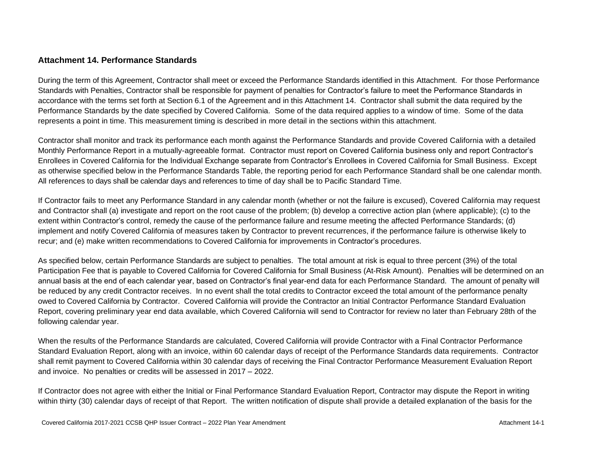### **Attachment 14. Performance Standards**

During the term of this Agreement, Contractor shall meet or exceed the Performance Standards identified in this Attachment. For those Performance Standards with Penalties, Contractor shall be responsible for payment of penalties for Contractor's failure to meet the Performance Standards in accordance with the terms set forth at Section 6.1 of the Agreement and in this Attachment 14. Contractor shall submit the data required by the Performance Standards by the date specified by Covered California. Some of the data required applies to a window of time. Some of the data represents a point in time. This measurement timing is described in more detail in the sections within this attachment.

Contractor shall monitor and track its performance each month against the Performance Standards and provide Covered California with a detailed Monthly Performance Report in a mutually-agreeable format. Contractor must report on Covered California business only and report Contractor's Enrollees in Covered California for the Individual Exchange separate from Contractor's Enrollees in Covered California for Small Business. Except as otherwise specified below in the Performance Standards Table, the reporting period for each Performance Standard shall be one calendar month. All references to days shall be calendar days and references to time of day shall be to Pacific Standard Time.

If Contractor fails to meet any Performance Standard in any calendar month (whether or not the failure is excused), Covered California may request and Contractor shall (a) investigate and report on the root cause of the problem; (b) develop a corrective action plan (where applicable); (c) to the extent within Contractor's control, remedy the cause of the performance failure and resume meeting the affected Performance Standards; (d) implement and notify Covered California of measures taken by Contractor to prevent recurrences, if the performance failure is otherwise likely to recur; and (e) make written recommendations to Covered California for improvements in Contractor's procedures.

As specified below, certain Performance Standards are subject to penalties. The total amount at risk is equal to three percent (3%) of the total Participation Fee that is payable to Covered California for Covered California for Small Business (At-Risk Amount). Penalties will be determined on an annual basis at the end of each calendar year, based on Contractor's final year-end data for each Performance Standard. The amount of penalty will be reduced by any credit Contractor receives. In no event shall the total credits to Contractor exceed the total amount of the performance penalty owed to Covered California by Contractor. Covered California will provide the Contractor an Initial Contractor Performance Standard Evaluation Report, covering preliminary year end data available, which Covered California will send to Contractor for review no later than February 28th of the following calendar year.

When the results of the Performance Standards are calculated, Covered California will provide Contractor with a Final Contractor Performance Standard Evaluation Report, along with an invoice, within 60 calendar days of receipt of the Performance Standards data requirements. Contractor shall remit payment to Covered California within 30 calendar days of receiving the Final Contractor Performance Measurement Evaluation Report and invoice. No penalties or credits will be assessed in 2017 – 2022.

If Contractor does not agree with either the Initial or Final Performance Standard Evaluation Report, Contractor may dispute the Report in writing within thirty (30) calendar days of receipt of that Report. The written notification of dispute shall provide a detailed explanation of the basis for the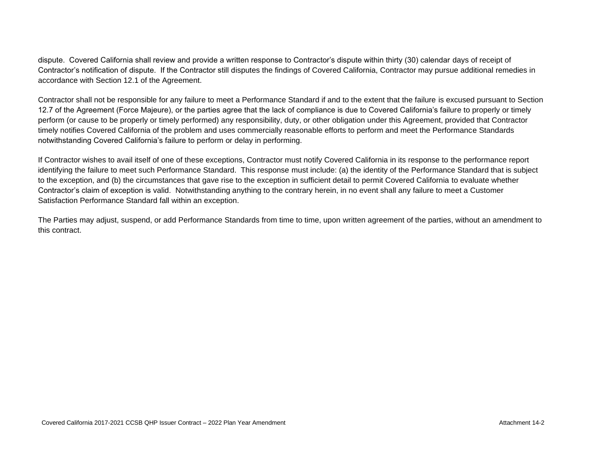dispute. Covered California shall review and provide a written response to Contractor's dispute within thirty (30) calendar days of receipt of Contractor's notification of dispute. If the Contractor still disputes the findings of Covered California, Contractor may pursue additional remedies in accordance with Section 12.1 of the Agreement.

Contractor shall not be responsible for any failure to meet a Performance Standard if and to the extent that the failure is excused pursuant to Section 12.7 of the Agreement (Force Majeure), or the parties agree that the lack of compliance is due to Covered California's failure to properly or timely perform (or cause to be properly or timely performed) any responsibility, duty, or other obligation under this Agreement, provided that Contractor timely notifies Covered California of the problem and uses commercially reasonable efforts to perform and meet the Performance Standards notwithstanding Covered California's failure to perform or delay in performing.

If Contractor wishes to avail itself of one of these exceptions, Contractor must notify Covered California in its response to the performance report identifying the failure to meet such Performance Standard. This response must include: (a) the identity of the Performance Standard that is subject to the exception, and (b) the circumstances that gave rise to the exception in sufficient detail to permit Covered California to evaluate whether Contractor's claim of exception is valid. Notwithstanding anything to the contrary herein, in no event shall any failure to meet a Customer Satisfaction Performance Standard fall within an exception.

The Parties may adjust, suspend, or add Performance Standards from time to time, upon written agreement of the parties, without an amendment to this contract.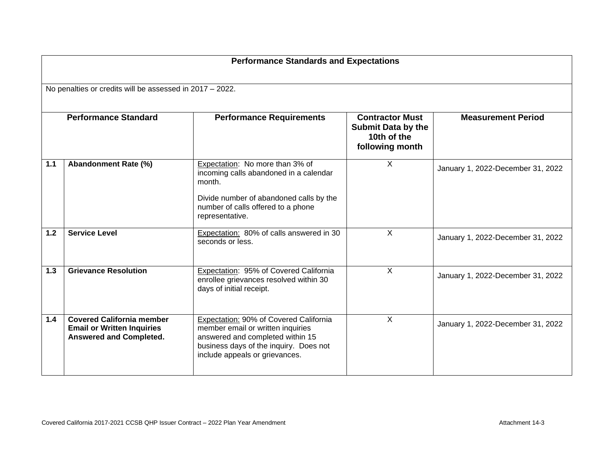|                                                          | <b>Performance Standards and Expectations</b>                                                           |                                                                                                                                                                                             |                                                                                       |                                   |  |  |  |
|----------------------------------------------------------|---------------------------------------------------------------------------------------------------------|---------------------------------------------------------------------------------------------------------------------------------------------------------------------------------------------|---------------------------------------------------------------------------------------|-----------------------------------|--|--|--|
| No penalties or credits will be assessed in 2017 - 2022. |                                                                                                         |                                                                                                                                                                                             |                                                                                       |                                   |  |  |  |
| <b>Performance Standard</b>                              |                                                                                                         | <b>Performance Requirements</b>                                                                                                                                                             | <b>Contractor Must</b><br><b>Submit Data by the</b><br>10th of the<br>following month | <b>Measurement Period</b>         |  |  |  |
| 1.1                                                      | Abandonment Rate (%)                                                                                    | Expectation: No more than 3% of<br>incoming calls abandoned in a calendar<br>month.<br>Divide number of abandoned calls by the<br>number of calls offered to a phone<br>representative.     | X                                                                                     | January 1, 2022-December 31, 2022 |  |  |  |
| $1.2$                                                    | <b>Service Level</b>                                                                                    | Expectation: 80% of calls answered in 30<br>seconds or less.                                                                                                                                | X                                                                                     | January 1, 2022-December 31, 2022 |  |  |  |
| 1.3                                                      | <b>Grievance Resolution</b>                                                                             | Expectation: 95% of Covered California<br>enrollee grievances resolved within 30<br>days of initial receipt.                                                                                | $\mathsf{X}$                                                                          | January 1, 2022-December 31, 2022 |  |  |  |
| 1.4                                                      | <b>Covered California member</b><br><b>Email or Written Inquiries</b><br><b>Answered and Completed.</b> | Expectation: 90% of Covered California<br>member email or written inquiries<br>answered and completed within 15<br>business days of the inquiry. Does not<br>include appeals or grievances. | $\mathsf{X}$                                                                          | January 1, 2022-December 31, 2022 |  |  |  |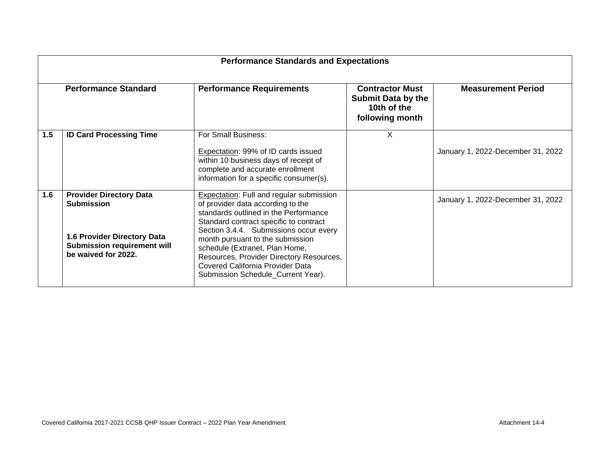| <b>Performance Standards and Expectations</b> |                                                                                                                                                 |                                                                                                                                                                                                                                                                                                                                                                                                               |                                                                                       |                                   |  |
|-----------------------------------------------|-------------------------------------------------------------------------------------------------------------------------------------------------|---------------------------------------------------------------------------------------------------------------------------------------------------------------------------------------------------------------------------------------------------------------------------------------------------------------------------------------------------------------------------------------------------------------|---------------------------------------------------------------------------------------|-----------------------------------|--|
| <b>Performance Standard</b>                   |                                                                                                                                                 | <b>Performance Requirements</b>                                                                                                                                                                                                                                                                                                                                                                               | <b>Contractor Must</b><br><b>Submit Data by the</b><br>10th of the<br>following month | <b>Measurement Period</b>         |  |
| 1.5                                           | <b>ID Card Processing Time</b>                                                                                                                  | For Small Business:<br>Expectation: 99% of ID cards issued<br>within 10 business days of receipt of<br>complete and accurate enrollment<br>information for a specific consumer(s).                                                                                                                                                                                                                            | X                                                                                     | January 1, 2022-December 31, 2022 |  |
| 1.6                                           | <b>Provider Directory Data</b><br><b>Submission</b><br>1.6 Provider Directory Data<br><b>Submission requirement will</b><br>be waived for 2022. | <b>Expectation: Full and regular submission</b><br>of provider data according to the<br>standards outlined in the Performance<br>Standard contract specific to contract<br>Section 3.4.4. Submissions occur every<br>month pursuant to the submission<br>schedule (Extranet, Plan Home,<br>Resources, Provider Directory Resources,<br>Covered California Provider Data<br>Submission Schedule_Current Year). |                                                                                       | January 1, 2022-December 31, 2022 |  |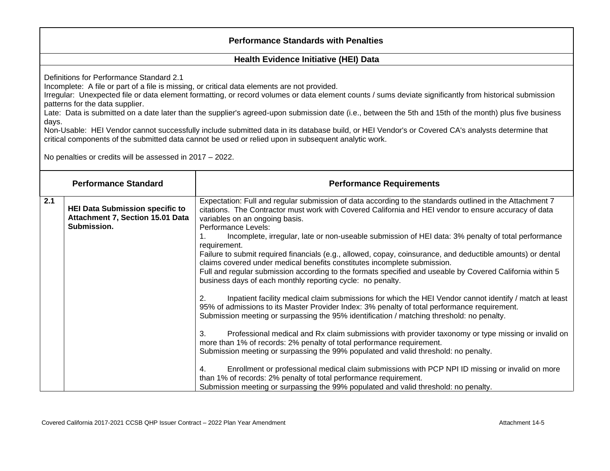## **Performance Standards with Penalties**

#### **Health Evidence Initiative (HEI) Data**

Definitions for Performance Standard 2.1

Incomplete: A file or part of a file is missing, or critical data elements are not provided.

Irregular: Unexpected file or data element formatting, or record volumes or data element counts / sums deviate significantly from historical submission patterns for the data supplier.

Late: Data is submitted on a date later than the supplier's agreed-upon submission date (i.e., between the 5th and 15th of the month) plus five business days.

Non-Usable: HEI Vendor cannot successfully include submitted data in its database build, or HEI Vendor's or Covered CA's analysts determine that critical components of the submitted data cannot be used or relied upon in subsequent analytic work.

No penalties or credits will be assessed in 2017 – 2022.

|              | <b>Performance Standard</b>                                                               | <b>Performance Requirements</b>                                                                                                                                                                                                                                                                     |
|--------------|-------------------------------------------------------------------------------------------|-----------------------------------------------------------------------------------------------------------------------------------------------------------------------------------------------------------------------------------------------------------------------------------------------------|
| 2.1          | <b>HEI Data Submission specific to</b><br>Attachment 7, Section 15.01 Data<br>Submission. | Expectation: Full and regular submission of data according to the standards outlined in the Attachment 7<br>citations. The Contractor must work with Covered California and HEI vendor to ensure accuracy of data<br>variables on an ongoing basis.<br>Performance Levels:                          |
| requirement. |                                                                                           | Incomplete, irregular, late or non-useable submission of HEI data: 3% penalty of total performance                                                                                                                                                                                                  |
|              |                                                                                           | Failure to submit required financials (e.g., allowed, copay, coinsurance, and deductible amounts) or dental<br>claims covered under medical benefits constitutes incomplete submission.                                                                                                             |
|              |                                                                                           | Full and regular submission according to the formats specified and useable by Covered California within 5<br>business days of each monthly reporting cycle: no penalty.                                                                                                                             |
|              |                                                                                           | Inpatient facility medical claim submissions for which the HEI Vendor cannot identify / match at least<br>95% of admissions to its Master Provider Index: 3% penalty of total performance requirement.<br>Submission meeting or surpassing the 95% identification / matching threshold: no penalty. |
|              |                                                                                           | Professional medical and Rx claim submissions with provider taxonomy or type missing or invalid on<br>З.<br>more than 1% of records: 2% penalty of total performance requirement.<br>Submission meeting or surpassing the 99% populated and valid threshold: no penalty.                            |
|              |                                                                                           | Enrollment or professional medical claim submissions with PCP NPI ID missing or invalid on more<br>than 1% of records: 2% penalty of total performance requirement.<br>Submission meeting or surpassing the 99% populated and valid threshold: no penalty.                                          |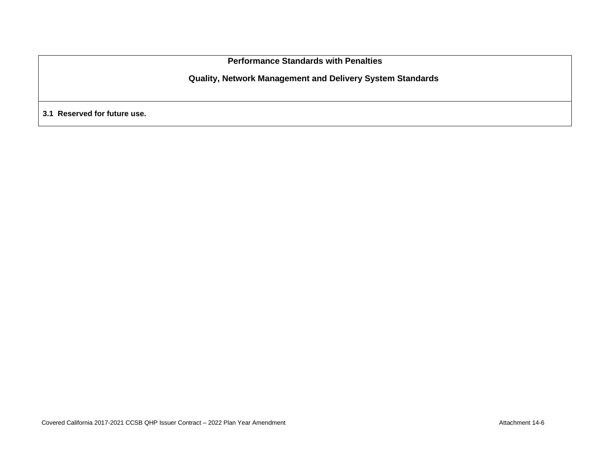**Performance Standards with Penalties**

**Quality, Network Management and Delivery System Standards**

**3.1 Reserved for future use.**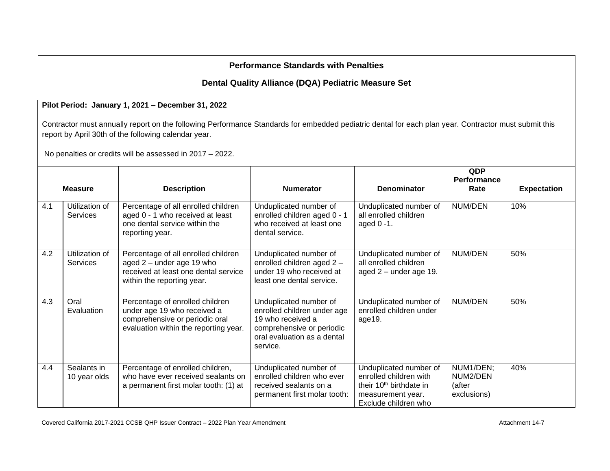# **Performance Standards with Penalties**

# **Dental Quality Alliance (DQA) Pediatric Measure Set**

### **Pilot Period: January 1, 2021 – December 31, 2022**

Contractor must annually report on the following Performance Standards for embedded pediatric dental for each plan year. Contractor must submit this report by April 30th of the following calendar year.

No penalties or credits will be assessed in 2017 – 2022.

|     | <b>Measure</b>                    | <b>Description</b>                                                                                                                        | <b>Numerator</b>                                                                                                                                   | <b>Denominator</b>                                                                                                                   | QDP<br>Performance<br>Rate                     | <b>Expectation</b> |
|-----|-----------------------------------|-------------------------------------------------------------------------------------------------------------------------------------------|----------------------------------------------------------------------------------------------------------------------------------------------------|--------------------------------------------------------------------------------------------------------------------------------------|------------------------------------------------|--------------------|
| 4.1 | Utilization of<br><b>Services</b> | Percentage of all enrolled children<br>aged 0 - 1 who received at least<br>one dental service within the<br>reporting year.               | Unduplicated number of<br>enrolled children aged 0 - 1<br>who received at least one<br>dental service.                                             | Unduplicated number of<br>all enrolled children<br>aged $0 - 1$ .                                                                    | NUM/DEN                                        | 10%                |
| 4.2 | Utilization of<br><b>Services</b> | Percentage of all enrolled children<br>aged $2$ – under age 19 who<br>received at least one dental service<br>within the reporting year.  | Unduplicated number of<br>enrolled children aged 2 -<br>under 19 who received at<br>least one dental service.                                      | Unduplicated number of<br>all enrolled children<br>aged $2$ – under age 19.                                                          | NUM/DEN                                        | 50%                |
| 4.3 | Oral<br>Evaluation                | Percentage of enrolled children<br>under age 19 who received a<br>comprehensive or periodic oral<br>evaluation within the reporting year. | Unduplicated number of<br>enrolled children under age<br>19 who received a<br>comprehensive or periodic<br>oral evaluation as a dental<br>service. | Unduplicated number of<br>enrolled children under<br>age19.                                                                          | NUM/DEN                                        | 50%                |
| 4.4 | Sealants in<br>10 year olds       | Percentage of enrolled children,<br>who have ever received sealants on<br>a permanent first molar tooth: (1) at                           | Unduplicated number of<br>enrolled children who ever<br>received sealants on a<br>permanent first molar tooth:                                     | Unduplicated number of<br>enrolled children with<br>their 10 <sup>th</sup> birthdate in<br>measurement year.<br>Exclude children who | NUM1/DEN;<br>NUM2/DEN<br>(after<br>exclusions) | 40%                |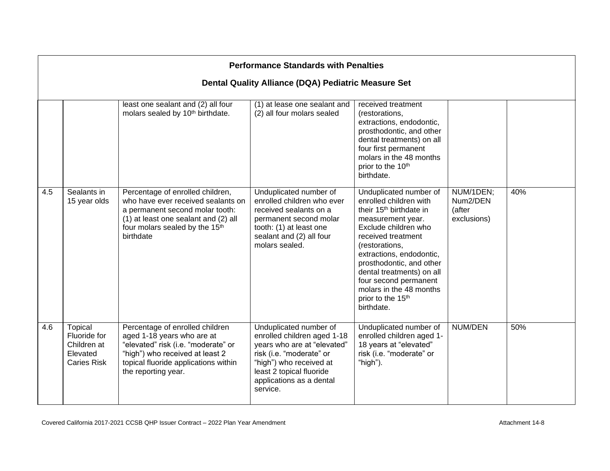| <b>Performance Standards with Penalties</b> |                                                                                 |                                                                                                                                                                                                        |                                                                                                                                                                                                                 |                                                                                                                                                                                                                                                                                                                                                                      |                                                |     |  |
|---------------------------------------------|---------------------------------------------------------------------------------|--------------------------------------------------------------------------------------------------------------------------------------------------------------------------------------------------------|-----------------------------------------------------------------------------------------------------------------------------------------------------------------------------------------------------------------|----------------------------------------------------------------------------------------------------------------------------------------------------------------------------------------------------------------------------------------------------------------------------------------------------------------------------------------------------------------------|------------------------------------------------|-----|--|
|                                             | Dental Quality Alliance (DQA) Pediatric Measure Set                             |                                                                                                                                                                                                        |                                                                                                                                                                                                                 |                                                                                                                                                                                                                                                                                                                                                                      |                                                |     |  |
|                                             |                                                                                 | least one sealant and (2) all four<br>molars sealed by 10 <sup>th</sup> birthdate.                                                                                                                     | (1) at lease one sealant and<br>(2) all four molars sealed                                                                                                                                                      | received treatment<br>(restorations,<br>extractions, endodontic,<br>prosthodontic, and other<br>dental treatments) on all<br>four first permanent<br>molars in the 48 months<br>prior to the 10 <sup>th</sup><br>birthdate.                                                                                                                                          |                                                |     |  |
| 4.5                                         | Sealants in<br>15 year olds                                                     | Percentage of enrolled children,<br>who have ever received sealants on<br>a permanent second molar tooth:<br>(1) at least one sealant and (2) all<br>four molars sealed by the 15th<br>birthdate       | Unduplicated number of<br>enrolled children who ever<br>received sealants on a<br>permanent second molar<br>tooth: (1) at least one<br>sealant and (2) all four<br>molars sealed.                               | Unduplicated number of<br>enrolled children with<br>their 15 <sup>th</sup> birthdate in<br>measurement year.<br>Exclude children who<br>received treatment<br>(restorations,<br>extractions, endodontic,<br>prosthodontic, and other<br>dental treatments) on all<br>four second permanent<br>molars in the 48 months<br>prior to the 15 <sup>th</sup><br>birthdate. | NUM/1DEN;<br>Num2/DEN<br>(after<br>exclusions) | 40% |  |
| 4.6                                         | <b>Topical</b><br>Fluoride for<br>Children at<br>Elevated<br><b>Caries Risk</b> | Percentage of enrolled children<br>aged 1-18 years who are at<br>"elevated" risk (i.e. "moderate" or<br>"high") who received at least 2<br>topical fluoride applications within<br>the reporting year. | Unduplicated number of<br>enrolled children aged 1-18<br>years who are at "elevated"<br>risk (i.e. "moderate" or<br>"high") who received at<br>least 2 topical fluoride<br>applications as a dental<br>service. | Unduplicated number of<br>enrolled children aged 1-<br>18 years at "elevated"<br>risk (i.e. "moderate" or<br>"high").                                                                                                                                                                                                                                                | <b>NUM/DEN</b>                                 | 50% |  |